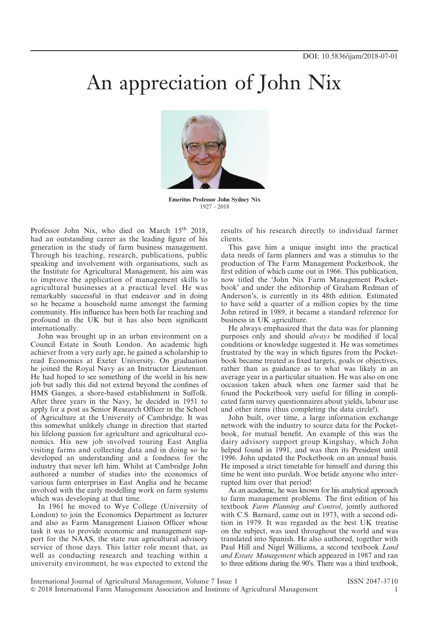## An appreciation of John Nix



Emeritus Professor John Sydney Nix 1927 - 2018

Professor John Nix, who died on March 15<sup>th</sup> 2018, had an outstanding career as the leading figure of his generation in the study of farm business management. Through his teaching, research, publications, public speaking and involvement with organisations, such as the Institute for Agricultural Management, his aim was to improve the application of management skills to agricultural businesses at a practical level. He was remarkably successful in that endeavor and in doing so he became a household name amongst the farming community. His influence has been both far reaching and profound in the UK but it has also been significant internationally.

John was brought up in an urban environment on a Council Estate in South London. An academic high achiever from a very early age, he gained a scholarship to read Economics at Exeter University. On graduation he joined the Royal Navy as an Instructor Lieutenant. He had hoped to see something of the world in his new job but sadly this did not extend beyond the confines of HMS Ganges, a shore-based establishment in Suffolk. After three years in the Navy, he decided in 1951 to apply for a post as Senior Research Officer in the School of Agriculture at the University of Cambridge. It was this somewhat unlikely change in direction that started his lifelong passion for agriculture and agricultural economics. His new job involved touring East Anglia visiting farms and collecting data and in doing so he developed an understanding and a fondness for the industry that never left him. Whilst at Cambridge John authored a number of studies into the economics of various farm enterprises in East Anglia and he became involved with the early modelling work on farm systems which was developing at that time.

In 1961 he moved to Wye College (University of London) to join the Economics Department as lecturer and also as Farm Management Liaison Officer whose task it was to provide economic and management support for the NAAS, the state run agricultural advisory service of those days. This latter role meant that, as well as conducting research and teaching within a university environment, he was expected to extend the

results of his research directly to individual farmer clients.

This gave him a unique insight into the practical data needs of farm planners and was a stimulus to the production of The Farm Management Pocketbook, the first edition of which came out in 1966. This publication, now titled the 'John Nix Farm Management Pocketbook' and under the editorship of Graham Redman of Anderson's, is currently in its 48th edition. Estimated to have sold a quarter of a million copies by the time John retired in 1989, it became a standard reference for business in UK agriculture.

He always emphasized that the data was for planning purposes only and should always be modified if local conditions or knowledge suggested it. He was sometimes frustrated by the way in which figures from the Pocketbook became treated as fixed targets, goals or objectives, rather than as guidance as to what was likely in an average year in a particular situation. He was also on one occasion taken aback when one farmer said that he found the Pocketbook very useful for filling in complicated farm survey questionnaires about yields, labour use and other items (thus completing the data circle!).

John built, over time, a large information exchange network with the industry to source data for the Pocketbook, for mutual benefit. An example of this was the dairy advisory support group Kingshay, which John helped found in 1991, and was then its President until 1996. John updated the Pocketbook on an annual basis. He imposed a strict timetable for himself and during this time he went into purdah. Woe betide anyone who interrupted him over that period!

As an academic, he was known for his analytical approach to farm management problems. The first edition of his textbook Farm Planning and Control, jointly authored with C.S. Barnard, came out in 1973, with a second edition in 1979. It was regarded as the best UK treatise on the subject, was used throughout the world and was translated into Spanish. He also authored, together with Paul Hill and Nigel Williams, a second textbook Land and Estate Management which appeared in 1987 and ran to three editions during the 90's. There was a third textbook,